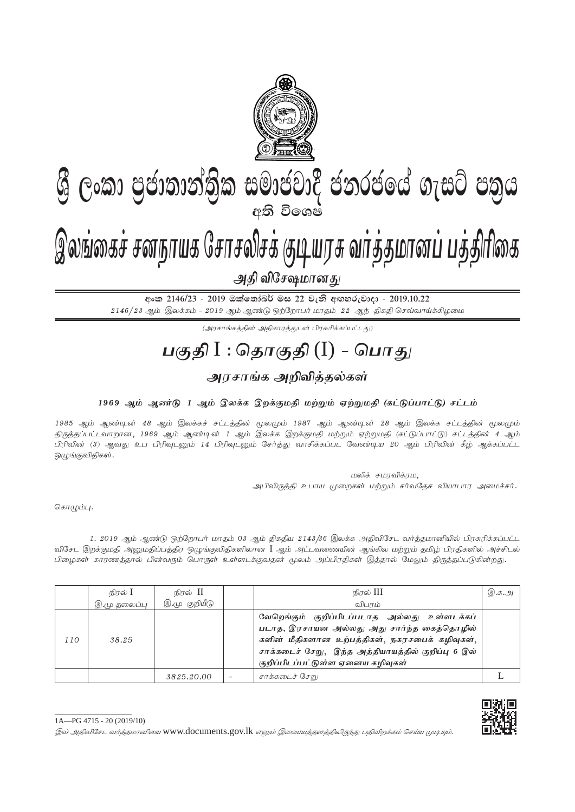

## **ශී ලංකා පුජාතාන්තික සමාජවාදී ජනරජයේ ගැසට් පතුය** අති වි**ශෙ**ෂ

## $\beta$  **guingers of Arithment California** (diffraction of the participated model **; ;**

அதி விசேஷமான*து* 

<u> අංක 2146/23 - 2019 ඔක්තෝබර් මස 22 වැනි අඟහරුවාදා - 2019.10.22</u>  $2146/23$  ஆம் இலக்கம் -  $2019$  ஆம் ஆண்டு ஒற்றோபர் மாதம்  $22$  ஆந் திகதி செவ்வாய்க்கிழமை

 $(\mathcal{A}$ ரசாங்கத்தின் அதிகாரத்துடன் பிரசுரிக்கப்பட்டது)

## <u>பகுதி I : தொகுதி (I) - பொது</u>

அரசாங்க அறிவித்தல்கள்

1969 ஆம் ஆண்டு 1 ஆம் இலக்க இறக்குமதி மற்றும் ஏற்றுமதி (கட்டுப்பாட்டு) சட்டம்

1985 ஆம் ஆண்டின் 48 ஆம் இலக்கச் சட்டத்தின் மூலமும் 1987 ஆம் ஆண்டின் 28 ஆம் இலக்க சட்டத்தின் மூலமும் திருத்தப்பட்டவாறான, 1969 ஆம் ஆண்டின் 1 ஆம் இலக்க இறக்குமதி மற்றும் ஏற்றுமதி (கட்டுப்பாட்டு) சட்டத்தின் 4 ஆம் பிரிவின் (3) ஆவது உப பிரிவுடனும் 14 பிரிவுடனும் சேர்த்து வாசிக்கப்பட வேண்டிய 20 ஆம் பிரிவின் கீழ் ஆக்கப்பட்ட ஒழுங்குவிதிகள்.

> மலிக் சமரவிக்ரம, அபிவிருத்தி உபாய முறைகள் மற்றும் சர்வதேச வியாபார அமைச்சர்.

கொழும்பு.

 $1. \; 2019 \;$ ஆம் ஆண்டு ஒற்றோபர் மாதம் 03 ஆம் திகதிய  $2143/36$  இலக்க அதிவிசேட வர்த்தமானியில் பிரசுரிக்கப்பட்ட விசேட இறக்குமதி அனுமதிப்பத்திர ஒழுங்குவிதிகளிலான I ஆம் அட்டவணையின் ஆங்கில மற்றும் தமிழ் பிரதிகளில் அச்சிடல் பிழைகள் காரணத்தால் பின்வரும் பொருள் உள்ளடக்குவதன் மூலம் அப்பிரதிகள் இத்தால் மேலும் திருத்தப்படுகின்றது.

|     | நிரல் I<br>இ.மு தலைப்பு | நிரல் II<br>இ.மு குறியீடு |                          | நிரல் III<br>விபாம்                                                                                                                                                                                                                     | இ.க.அ |
|-----|-------------------------|---------------------------|--------------------------|-----------------------------------------------------------------------------------------------------------------------------------------------------------------------------------------------------------------------------------------|-------|
| 110 | 38.25                   |                           |                          | வேறெங்கும் குறிப்பிடப்படாத அல்லது உள்ளடக்கப்<br>படாத, இரசாயன அல்லது அது சார்ந்த கைத்தொழில்<br>களின் மீதிகளான உற்பத்திகள், நகரசபைக் கழிவுகள்,<br>சாக்கடைச் சேறு, இந்த அத்தியாயத்தில் குறிப்பு 6 இல்<br>குறிப்பிடப்பட்டுள்ள ஏனைய கழிவுகள் |       |
|     |                         | 3825.20.00                | $\overline{\phantom{0}}$ | சாக்கடைச் சேறு                                                                                                                                                                                                                          |       |



 $1A - PG$  4715 - 20 (2019/10)

இவ் அதிவிசேட வர்த்தமானியை www.documents.gov.lk எனும் இணையத்தளத்திலிருந்து பதிவிறக்கம் செய்ய முடியும்.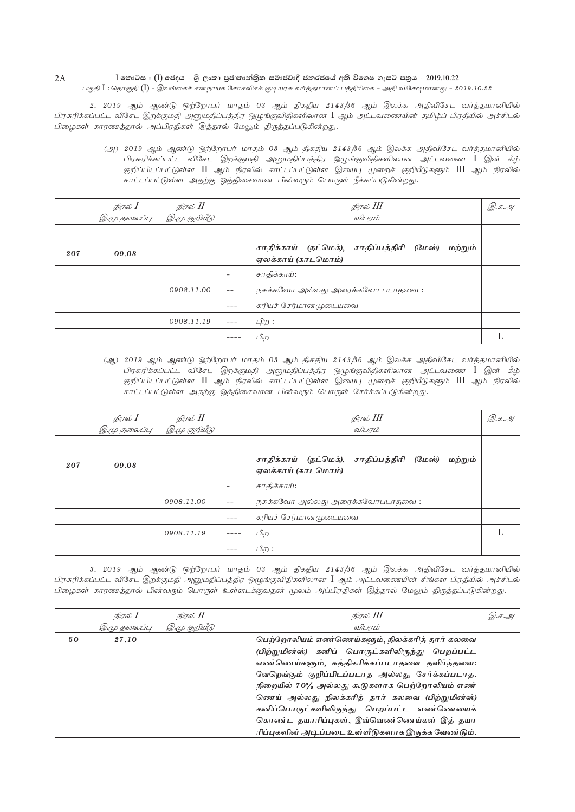$I$  කොටස : (I) ජෙදය - ශුී ලංකා පුජාතාන්තිුක සමාජවාදී ජනරජයේ අති විශෙෂ ගැසට් පතුය - 2019.10.22 பகுதி  $I$  : தொகுதி ( $I$ ) - இலங்கைச் சனநாயக சோசலிசக் குடியரசு வர்த்தமானப் பத்திரிகை - அதி விசேஷமானது - 2019.10.22 2A

2. 2019 ஆம் ஆண்டு ஒற்றோபர் மாதம் 03 ஆம் திகதிய 2143/36 ஆம் இலக்க அதிவிசேட வர்த்தமானியில் பிரசுரிக்கப்பட்ட விசேட இறக்குமதி அனுமதிப்பத்திர ஒழுங்குவிதிகளிலான  $I$  ஆம் அட்டவணையின் தமிழ்ப் பிரதியில் அச்சிடல் பிழைகள் காரணத்தால் அப்பிரதிகள் இத்தால் மேலும் திருத்தப்படுகின்றது.

> (அ) 2019 ஆம் ஆண்டு ஒற்றோபர் மாதம் 03 ஆம் திகதிய 2143/36 ஆம் இலக்க அதிவிசேட வர்த்தமானியில் பிரசுரிக்கப்பட்ட விசேட இறக்குமதி அனுமதிப்பத்திர ஒழுங்குவிதிகளிலான அட்டவணை  ${\rm I}$  இன் கீழ் குறிப்பிடப்பட்டுள்ள  $\rm{II}$  ஆம் நிரலில் காட்டப்பட்டுள்ள இயைபு முறைக் குறியீடுகளும்  $\rm{III}$  ஆம் நிரலில் காட்டப்பட்டுள்ள அதற்கு ஒத்திசைவான பின்வரும் பொருள் நீக்கப்படுகின்றது**.**

|     | நிரல் $I$<br>இ.மு தலைப்பு | நிரல் II<br>இ.மு குறியீடு |                   | நிரல் III<br>விபரம்                                                            |  |
|-----|---------------------------|---------------------------|-------------------|--------------------------------------------------------------------------------|--|
|     |                           |                           |                   |                                                                                |  |
| 207 | 09.08                     |                           |                   | சாதிக்காய் (நட்மெக்), சாதிப்பத்திரி<br>(மேஸ்)<br>மற்றும்<br>ஏலக்காய் (காடமொம்) |  |
|     |                           |                           |                   | சாகிக்காய்:                                                                    |  |
|     |                           | 0908.11.00                | $\qquad \qquad -$ | நசுக்கவோ அல்லது அரைக்கவோ படாதவை :                                              |  |
|     |                           |                           | ---               | கரியச் சேர்மானமுடையவை                                                          |  |
|     |                           | 0908.11.19                | $---$             | பிற :                                                                          |  |
|     |                           |                           |                   | பிற                                                                            |  |

(ஆ) 2019 ஆம் ஆண்டு ஒற்றோபர் மாதம் 03 ஆம் திகதிய 2143/36 ஆம் இலக்க அதிவிசேட வர்த்தமானியில் பிரசுரிக்கப்பட்ட விசேட இறக்குமதி அனுமதிப்பத்திர ஒழுங்குவிதிகளிலான அட்டவணை  ${\rm I}$  இன் கீழ் குறிப்பிடப்பட்டுள்ள **II** ஆம் நிரலில் காட்டப்பட்டுள்ள இயைபு முறைக் குறியீடுகளும் **III** ஆம் நிரலில் காட்டப்பட்டுள்ள அதற்கு ஒத்திசைவான பின்வரும் பொருள் சேர்க்கப்படுகின்றது.

|     | நிரல் I      | நிரல் <b>II</b><br>இ.மு குறியீடு |         | நிரல் III                                                                   | Q.FY |
|-----|--------------|----------------------------------|---------|-----------------------------------------------------------------------------|------|
|     | இ.மு தலைப்பு |                                  |         | விபரம்                                                                      |      |
|     |              |                                  |         |                                                                             |      |
| 207 | 09.08        |                                  |         | சாதிக்காய் (நட்மெக்), சாதிப்பத்திரி (மேஸ்)<br>மற்றும்<br>ஏலக்காய் (காடமொம்) |      |
|     |              |                                  |         | சாகிக்காய்:                                                                 |      |
|     |              | 0908.11.00                       | $ -$    | நசுக்கவோ அல்லது அரைக்கவோபடாதவை :                                            |      |
|     |              |                                  |         | கரியச் சேர்மானமுடையவை                                                       |      |
|     |              | 0908.11.19                       |         | பிற                                                                         |      |
|     |              |                                  | $- - -$ | பிற :                                                                       |      |

3. 2019 ஆம் ஆண்டு ஒற்றோபர் மாதம் 03 ஆம் திகதிய 2143/36 ஆம் இலக்க அதிவிசேட வர்த்தமானியில் பிரசுரிக்கப்பட்ட விசேட இறக்குமதி அனுமதிப்பத்திர ஒழுங்குவிதிகளிலான I ஆம் அட்டவணையின் சிங்கள பிரதியில் அச்சிடல் பிழைகள் காரணத்தால் பின்வரும் பொருள் உள்ளடக்குவதன் மூலம் அப்பிரதிகள் இத்தால் மேலும் திருத்தப்படுகின்றது.

|    | நிரல் I      | நிரல் <b>II</b> | நிரல் III                                         | Q).F91 |
|----|--------------|-----------------|---------------------------------------------------|--------|
|    | இ.மு தலைப்பு | இ.மு குறியீடு   | விபாம்                                            |        |
| 50 | 27.10        |                 | பெற்றோலியம் எண்ணெய்களும், நிலக்கரித் தார் கலவை    |        |
|    |              |                 | (பிற்றுமின்ஸ்) கனிப் பொருட்களிலிருந்து பெறப்பட்ட  |        |
|    |              |                 | எண்ணெய்களும், சுத்திகரிக்கப்படாதவை தவிர்ந்தவை:    |        |
|    |              |                 | வேறெங்கும் குறிப்பிடப்படாத அல்லது சேர்க்கப்படாத.  |        |
|    |              |                 | நிறையில் 70% அல்லது கூடுகளாக பெற்றோலியம் எண்      |        |
|    |              |                 | ணெய் அல்லது நிலக்கரித் தார் கலவை (பிற்றுமின்ஸ்)   |        |
|    |              |                 | கனிப்பொருட்களிலிருந்து பெறப்பட்ட எண்ணெயைக்        |        |
|    |              |                 | கொண்ட தயாரிப்புகள், இவ்வெண்ணெய்கள் இத் தயா        |        |
|    |              |                 | ரிப்புகளின் அடிப்படை உள்ளீடுகளாக இருக்க வேண்டும். |        |